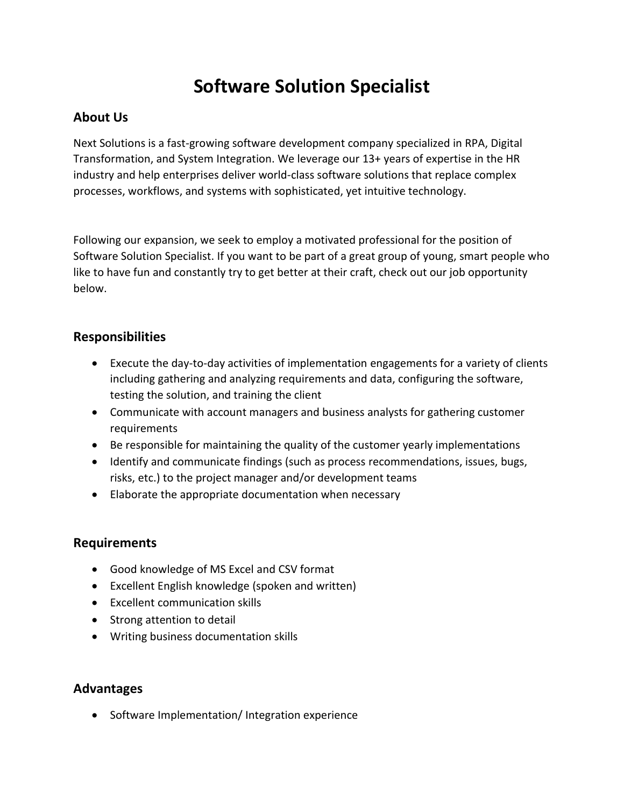# **Software Solution Specialist**

# **About Us**

Next Solutions is a fast-growing software development company specialized in RPA, Digital Transformation, and System Integration. We leverage our 13+ years of expertise in the HR industry and help enterprises deliver world-class software solutions that replace complex processes, workflows, and systems with sophisticated, yet intuitive technology.

Following our expansion, we seek to employ a motivated professional for the position of Software Solution Specialist. If you want to be part of a great group of young, smart people who like to have fun and constantly try to get better at their craft, check out our job opportunity below.

### **Responsibilities**

- Execute the day-to-day activities of implementation engagements for a variety of clients including gathering and analyzing requirements and data, configuring the software, testing the solution, and training the client
- Communicate with account managers and business analysts for gathering customer requirements
- Be responsible for maintaining the quality of the customer yearly implementations
- Identify and communicate findings (such as process recommendations, issues, bugs, risks, etc.) to the project manager and/or development teams
- Elaborate the appropriate documentation when necessary

### **Requirements**

- Good knowledge of MS Excel and CSV format
- Excellent English knowledge (spoken and written)
- Excellent communication skills
- Strong attention to detail
- Writing business documentation skills

### **Advantages**

• Software Implementation/ Integration experience